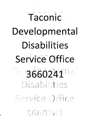# Taconic Developmenta **Disabilities**  $\sim$   $\sim$   $\sim$   $\sim$   $\sim$   $\sim$ **J** *W-* **1' \*,**

•S'.4 *t "\** **•>** •-V.V

 $-3660241$ **6^ ri- .** *i*

*A* **i-'-:** *X-* **s.** *ft***:: <sup>V</sup>** *r* <sup>T</sup> *% ^ ft <sup>f</sup>* **. <sup>&</sup>gt; ; : 4!'** *<sup>i</sup>*

**.i-V- :v -r ^ ./ . • ''-S :** *%* **)** *n* **a ^** *i-* **•%.; ■• i.** *y. I* **^ rr\*** <sup>V</sup> *'\*i % :* DINASTIA VALDISATIO

**a;, "** *^* **•' '**

Mi. .i.a *^* **a-: ..'a- i? :■•••.** */■* :.i

**;; I . - ■■** *iSt* **.' ii- •'.-** *< .*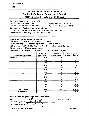## New York State Consultant Services **Contractor's Annual Employment Report**

*\*

Report Period: April 1,2019 to March 31,2020

| <b>Contracting State Agency Name: OPWDD</b><br><b>Contract Number: COSBR00098</b><br><b>Agency Business Unit: OPD01</b><br>Contract Term: 4/1/2019 to 3/31/2020<br>Agency Department ID: 3660241<br><b>Contractor Name: Worldwide Travel Stafing, Limited</b><br>Contractor Address: 2829 Sheridan Drive, Tonawanda, New York 14150<br>Description of Services Being Provided: Sitter Services                                                      |                                      |                                         |                                                    |  |  |  |
|-----------------------------------------------------------------------------------------------------------------------------------------------------------------------------------------------------------------------------------------------------------------------------------------------------------------------------------------------------------------------------------------------------------------------------------------------------|--------------------------------------|-----------------------------------------|----------------------------------------------------|--|--|--|
| Scope of Contract (Choose one that best fits):<br>$\Box$ Evaluation<br>$\Box$ Research<br>$\Box$ Analysis<br>Training<br>Data Processing<br>Computer Programming<br>Other IT consulting<br><b>Architect Services</b><br>Engineering<br>$\Box$ Surveying<br><b>Environmental Services</b><br><b>X</b> Health Services<br>$\Box$ Mental Health Services<br>Accounting<br>$\Box$ Legal<br>$\exists$ Auditing<br>$\Box$ Paralegal<br>□ Other Consulting |                                      |                                         |                                                    |  |  |  |
| <b>Employment Category</b>                                                                                                                                                                                                                                                                                                                                                                                                                          | <b>Number of</b><br><b>Employees</b> | <b>Number of</b><br><b>Hours Worked</b> | <b>Amount Payable</b><br><b>Under the Contract</b> |  |  |  |
| 39-9099.00                                                                                                                                                                                                                                                                                                                                                                                                                                          | 0.00                                 | 0.00                                    | \$0.00                                             |  |  |  |
|                                                                                                                                                                                                                                                                                                                                                                                                                                                     | 0.00                                 | 0.00                                    | \$0.00                                             |  |  |  |
|                                                                                                                                                                                                                                                                                                                                                                                                                                                     | 0.00                                 | 0.00                                    | \$0.00                                             |  |  |  |
|                                                                                                                                                                                                                                                                                                                                                                                                                                                     | 0.00                                 | 0.00                                    | \$0.00                                             |  |  |  |
|                                                                                                                                                                                                                                                                                                                                                                                                                                                     | 0.00                                 | 0.00                                    | \$0.00                                             |  |  |  |
|                                                                                                                                                                                                                                                                                                                                                                                                                                                     | 0.00                                 | 0.00                                    | \$0.00                                             |  |  |  |
|                                                                                                                                                                                                                                                                                                                                                                                                                                                     | 0.00                                 | 0.00                                    | \$0.00                                             |  |  |  |
|                                                                                                                                                                                                                                                                                                                                                                                                                                                     | 0.00                                 | 0.00                                    | \$0.00                                             |  |  |  |
|                                                                                                                                                                                                                                                                                                                                                                                                                                                     | 0.00                                 | 0.00                                    | \$0.00                                             |  |  |  |
|                                                                                                                                                                                                                                                                                                                                                                                                                                                     | 0.00                                 | 0.00                                    | \$0.00                                             |  |  |  |
|                                                                                                                                                                                                                                                                                                                                                                                                                                                     | 0.00                                 | 0.00                                    | \$0.00                                             |  |  |  |
|                                                                                                                                                                                                                                                                                                                                                                                                                                                     | 0.00                                 | 0.00                                    | \$0.00                                             |  |  |  |
|                                                                                                                                                                                                                                                                                                                                                                                                                                                     | 0.00                                 | 0.00                                    | \$0.00                                             |  |  |  |
| <b>Total this Page</b>                                                                                                                                                                                                                                                                                                                                                                                                                              | 0.00                                 | 0.00                                    | \$0.00                                             |  |  |  |
| <b>Grand Total</b>                                                                                                                                                                                                                                                                                                                                                                                                                                  | 0.00                                 | $\blacksquare$<br>0                     | \$0.00                                             |  |  |  |

**Name of person who prepared this report:** Leo **R.** Blatz

**Title:** C.E.O. **Preparer's Signature: Date Prepared:** 4/17/2020

Phone #: 716-821-9001

(Use additional pages, if necessary) example the example of the Page 1 of 1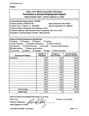# New York State Consultant Services **Contractor's Annual Employment Report**

Report Period: April 1, 2019 to March 31, 2020

| <b>Contracting State Agency Name: OPWDD</b>                              |                           |                         |                           |  |  |  |
|--------------------------------------------------------------------------|---------------------------|-------------------------|---------------------------|--|--|--|
| <b>Contract Number: COSCD00153</b><br><b>Agency Business Unit: OPD01</b> |                           |                         |                           |  |  |  |
| Contract Term: 4/1/2019 to 3/31/2020<br>Agency Department ID: 3660241    |                           |                         |                           |  |  |  |
| Contractor Name: Worldwide Travel Stafing, Limited                       |                           |                         |                           |  |  |  |
| Contractor Address: 2829 Sheridan Drive, Tonawanda, New York 14150       |                           |                         |                           |  |  |  |
| Description of Services Being Provided: Sitter Services                  |                           |                         |                           |  |  |  |
|                                                                          |                           |                         |                           |  |  |  |
|                                                                          |                           |                         |                           |  |  |  |
| Scope of Contract (Choose one that best fits):                           |                           |                         |                           |  |  |  |
| $\Box$ Analysis<br>Evaluation                                            | Research                  | Training                |                           |  |  |  |
| Data Processing<br>Computer Programming                                  |                           | □ Other IT consulting   |                           |  |  |  |
| Engineering<br><b>Architect Services</b>                                 | $\Box$ Surveying          | Environmental Services  |                           |  |  |  |
| <b>X</b> Health Services<br>Mental Health Services                       |                           |                         |                           |  |  |  |
| Accounting<br>Auditing                                                   | Paralegal<br>$\Box$ Legal | <b>Other Consulting</b> |                           |  |  |  |
|                                                                          | <b>Number of</b>          | <b>Number of</b>        | <b>Amount Payable</b>     |  |  |  |
| <b>Employment Category</b>                                               | <b>Employees</b>          | <b>Hours Worked</b>     | <b>Under the Contract</b> |  |  |  |
| 39-9099.00                                                               | 0.00                      | 0.00                    | \$0.00                    |  |  |  |
|                                                                          | 0.00                      | 0.00                    | \$0.00                    |  |  |  |
|                                                                          | 0.00                      | 0.00                    | \$0.00                    |  |  |  |
|                                                                          | 0.00                      | 0.00                    | \$0.00                    |  |  |  |
|                                                                          | 0.00                      | 0.00                    | \$0.00                    |  |  |  |
|                                                                          | 0.00                      | 0.00                    | \$0.00                    |  |  |  |
|                                                                          | 0.00                      | 0.00                    | \$0.00                    |  |  |  |
|                                                                          | 0.00                      | 0.00                    | \$0.00                    |  |  |  |
|                                                                          | 0.00                      | 0.00                    | \$0.00                    |  |  |  |
|                                                                          | 0.00                      | 0.00                    | \$0.00                    |  |  |  |
|                                                                          | 0.00                      | 0.00                    | \$0.00                    |  |  |  |
|                                                                          | 0.00                      | 0.00                    | \$0.00                    |  |  |  |
|                                                                          | 0.00                      | 0.00                    | \$0.00                    |  |  |  |
| <b>Total this Page</b>                                                   | 0.00                      | 0.00                    | \$ 0.00                   |  |  |  |
| <b>Grand Total</b>                                                       | 0.00                      | 0                       | \$0.00                    |  |  |  |

**Cl?**

Name of person who prepared this report: Leo R. Blatz

Title: C.E.O.

Preparer's Signature:

Date Prepared: 4/17/2020

Phone #: 716-821-9001

(Use additional pages, if necessary) example 2 and 2 and 2 and 2 and 2 and 2 and 2 and 2 and 2 and 2 and 2 and 2 and 2 and 2 and 2 and 2 and 2 and 2 and 2 and 2 and 2 and 2 and 2 and 2 and 2 and 2 and 2 and 2 and 2 and 2 a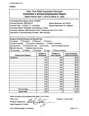# New York State Consultant Services **Contractor's Annual Employment Report**

Report Period: April 1,2019 to March 31,2020

| <b>Contracting State Agency Name: OPWDD</b>                                                     |                  |                               |                           |  |  |  |
|-------------------------------------------------------------------------------------------------|------------------|-------------------------------|---------------------------|--|--|--|
| <b>Contract Number: C0SFL00131</b><br><b>Agency Business Unit: OPD01</b>                        |                  |                               |                           |  |  |  |
| Contract Term: 4/1/2019 to 3/31/2020<br>Agency Department ID: 3660241                           |                  |                               |                           |  |  |  |
| <b>Contractor Name: Worldwide Travel Stafing, Limited</b>                                       |                  |                               |                           |  |  |  |
| Contractor Address: 2829 Sheridan Drive, Tonawanda, New York 14150                              |                  |                               |                           |  |  |  |
| Description of Services Being Provided: Sitter Services                                         |                  |                               |                           |  |  |  |
|                                                                                                 |                  |                               |                           |  |  |  |
|                                                                                                 |                  |                               |                           |  |  |  |
| Scope of Contract (Choose one that best fits):                                                  |                  |                               |                           |  |  |  |
| Evaluation<br>Analysis                                                                          | Research         | Training                      |                           |  |  |  |
| Data Processing<br>□ Computer Programming                                                       |                  | Other IT consulting           |                           |  |  |  |
| Engineering<br><b>Architect Services</b>                                                        | $\Box$ Surveying | <b>Environmental Services</b> |                           |  |  |  |
| <b>X</b> Health Services<br>□ Mental Health Services                                            |                  |                               |                           |  |  |  |
| Accounting<br><b>Auditing</b><br>$\Box$ Paralegal<br>$\square$ Legal<br><b>Other Consulting</b> |                  |                               |                           |  |  |  |
|                                                                                                 | <b>Number of</b> | <b>Number of</b>              | <b>Amount Payable</b>     |  |  |  |
| <b>Employment Category</b>                                                                      | <b>Employees</b> | <b>Hours Worked</b>           | <b>Under the Contract</b> |  |  |  |
| 39-9099.00                                                                                      | 0.00             | 0.00                          | \$0.00                    |  |  |  |
|                                                                                                 | 0.00             | 0.00                          | \$0.00                    |  |  |  |
|                                                                                                 | 0.00             | 0.00                          | \$0.00                    |  |  |  |
|                                                                                                 | 0.00             | 0.00                          | \$0.00                    |  |  |  |
|                                                                                                 | 0.00             | 0.00                          | \$0.00                    |  |  |  |
|                                                                                                 | 0.00             | 0.00                          | \$0.00                    |  |  |  |
|                                                                                                 | 0.00             | 0.00                          | \$0.00                    |  |  |  |
|                                                                                                 | 0.00             | 0.00                          | \$0.00                    |  |  |  |
|                                                                                                 | 0.00             | 0.00                          | \$0.00                    |  |  |  |
|                                                                                                 | 0.00             | 0.00                          | \$0.00                    |  |  |  |
|                                                                                                 | 0.00             | 0.00                          | \$0.00                    |  |  |  |
|                                                                                                 | 0.00             | 0.00                          | \$0.00                    |  |  |  |
|                                                                                                 | 0.00             | 0.00                          | \$0.00                    |  |  |  |
| <b>Total this Page</b>                                                                          | 0.00             | 0.00                          | \$0.00                    |  |  |  |
| <b>Grand Total</b>                                                                              | 0.00             | $\mathbf 0$                   | \$0.00                    |  |  |  |

Name of person who prepared this report: Leo R. Blatz

Title: C.E.O.

Preparer's Signature:

Date Prepared: 4/17/2020

Phone #: 716-821-9001

(Use additional pages, if necessary) example the contract of the Page 1 of 1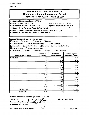# New York State Consultant Services **Contractor's Annual Employment Report**

Report Period: April 1,2019 to March 31,2020

| <b>Contracting State Agency Name: OPWDD</b>                        |                                    |                               |                           |  |  |  |
|--------------------------------------------------------------------|------------------------------------|-------------------------------|---------------------------|--|--|--|
| Contract Number: C0SHV00134                                        | <b>Agency Business Unit: OPD01</b> |                               |                           |  |  |  |
| Contract Term: 4/1/2019 to 3/31/2020                               |                                    | Agency Department ID: 3660241 |                           |  |  |  |
| <b>Contractor Name: Worldwide Travel Stafing, Limited</b>          |                                    |                               |                           |  |  |  |
| Contractor Address: 2829 Sheridan Drive, Tonawanda, New York 14150 |                                    |                               |                           |  |  |  |
| Description of Services Being Provided: Sitter Services            |                                    |                               |                           |  |  |  |
|                                                                    |                                    |                               |                           |  |  |  |
|                                                                    |                                    |                               |                           |  |  |  |
| Scope of Contract (Choose one that best fits):                     |                                    |                               |                           |  |  |  |
| $\square$ Analysis<br><b>T</b> Evaluation                          | Research                           | Training                      |                           |  |  |  |
| Data Processing<br>Computer Programming                            |                                    | $\Box$ Other IT consulting    |                           |  |  |  |
| <b>Architect Services</b><br>Engineering                           | $\Box$ Surveying                   | Environmental Services        |                           |  |  |  |
| $\boxtimes$ Health Services<br>$\Box$ Mental Health Services       |                                    |                               |                           |  |  |  |
| Accounting $\Box$ Auditing                                         | $\Box$ Paralegal<br>$\Box$ Legal   | <b>Other Consulting</b>       |                           |  |  |  |
|                                                                    | <b>Number of</b>                   | <b>Number of</b>              | <b>Amount Payable</b>     |  |  |  |
| <b>Employment Category</b>                                         | <b>Employees</b>                   | <b>Hours Worked</b>           | <b>Under the Contract</b> |  |  |  |
| 39-9099.00                                                         | 0.00                               | 0.00                          | \$0.00                    |  |  |  |
|                                                                    | 0.00                               | 0.00                          | \$0.00                    |  |  |  |
|                                                                    | 0.00                               | 0.00                          | \$0.00                    |  |  |  |
|                                                                    | 0.00                               | 0.00                          | \$0.00                    |  |  |  |
|                                                                    | 0.00                               | 0.00                          | \$0.00                    |  |  |  |
|                                                                    | 0.00                               | 0.00                          | \$0.00                    |  |  |  |
|                                                                    | 0.00                               | 0.00                          | \$0.00                    |  |  |  |
|                                                                    | 0.00                               | 0.00                          | \$0.00                    |  |  |  |
|                                                                    | 0.00                               | 0.00                          | \$0.00                    |  |  |  |
|                                                                    | 0.00                               | 0.00                          | \$0.00                    |  |  |  |
|                                                                    | 0.00                               | 0.00                          | \$0.00                    |  |  |  |
|                                                                    | 0.00                               | 0.00                          | \$0.00                    |  |  |  |
|                                                                    | 0.00                               | 0.00                          | \$0.00                    |  |  |  |
| <b>Total this Page</b>                                             |                                    |                               |                           |  |  |  |
|                                                                    | 0.00                               | 0.00                          | \$0.00                    |  |  |  |

Name of person who prepared this report: Leo R. Blatz

Title: C.E.O.

Preparer's Signature:  $\angle$ Date Prepared: 4/17/2020

(Use additional pages, if necessary) Page 1 of 1

Phone #: 716-821-9001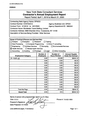# New York State Consultant Services **Contractor's Annual Employment Report**

Report Period: April 1, 2019 to March 31, 2020

| <b>Contracting State Agency Name: OPWDD</b>                  |                                  |                                    |                           |  |  |  |
|--------------------------------------------------------------|----------------------------------|------------------------------------|---------------------------|--|--|--|
| <b>Contract Number: COSTA0012</b>                            |                                  | <b>Agency Business Unit: OPD01</b> |                           |  |  |  |
| Contract Term: 4/1/2019 to 3/31/2020                         |                                  | . Agency Department ID: 3660241    |                           |  |  |  |
| Contractor Name: Worldwide Travel Staffing, Limited          |                                  |                                    |                           |  |  |  |
| Contractor Address: 2829 Sheridan Drive, Tonawanda, NY 14150 |                                  |                                    |                           |  |  |  |
| Description of Services Being Provided: Sitter Services      |                                  |                                    |                           |  |  |  |
|                                                              |                                  |                                    |                           |  |  |  |
|                                                              |                                  |                                    |                           |  |  |  |
| Scope of Contract (Choose one that best fits):               |                                  |                                    |                           |  |  |  |
| $\Box$ Evaluation<br>$\Box$ Analysis<br>$\Box$ Research      |                                  | Training                           |                           |  |  |  |
| Data Processing<br>Computer Programming                      |                                  | Other IT consulting                |                           |  |  |  |
| Engineering<br><b>Architect Services</b>                     | $\Box$ Surveying                 | Environmental Services             |                           |  |  |  |
| $\boxtimes$ Health Services<br>Mental Health Services        |                                  |                                    |                           |  |  |  |
| Accounting<br>Auditing                                       | $\Box$ Paralegal<br>$\Box$ Legal | <b>Other Consulting</b>            |                           |  |  |  |
|                                                              | <b>Number of</b>                 | <b>Number of</b>                   | <b>Amount Payable</b>     |  |  |  |
| <b>Employment Category</b>                                   | <b>Employees</b>                 | <b>Hours Worked</b>                | <b>Under the Contract</b> |  |  |  |
| 39.9099.00                                                   | 2.00                             | 310.83                             | \$9444.19                 |  |  |  |
|                                                              | 0.00                             | 0.00                               | \$0.00                    |  |  |  |
|                                                              | 0.00                             | 0.00                               | \$0.00                    |  |  |  |
|                                                              | 0.00                             | 0.00                               | \$0.00                    |  |  |  |
|                                                              | 0.00                             | 0.00                               | \$0.00                    |  |  |  |
|                                                              | 0.00                             | 0.00                               | \$0.00                    |  |  |  |
|                                                              | 0.00                             | 0.00                               | \$0.00                    |  |  |  |
|                                                              | 0.00                             | 0.00                               | \$0.00                    |  |  |  |
|                                                              | 0.00                             | 0.00                               | \$0.00                    |  |  |  |
|                                                              | 0.00                             | 0.00                               | \$0.00                    |  |  |  |
|                                                              | 0.00                             | 0.00                               | \$0.00                    |  |  |  |
|                                                              | 0.00                             | 0.00                               | \$0.00                    |  |  |  |
|                                                              | 0.00                             | 0.00                               | \$0.00                    |  |  |  |
| <b>Total this Page</b>                                       | 2.00                             | 310.83                             | \$4444.1Ÿ                 |  |  |  |
| <b>Grand Total</b>                                           | 2.00                             | 310                                | \$9444.19                 |  |  |  |

Name of person who prepared this report: Leo R. Blatz

Title: C.E.O.

Preparer's Signature:

Date Prepared: 4/17/2020 /

Phone #: 716-821-9001

(Use additional pages, if necessary) example the example of the Page 1 of 1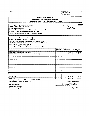**State Consultant Services Contractor's Annual Employment Record Report Period; April 1, 2019 through March 31,2020** Contracting State Agency Name: **Taconic DDSO** Agency Code: Contract Number: **OPDOl-0000087876** Contract Term: **Not Available** Contractor Name: **Delta Engineers, Architects, and Land Surveyors, PC** Contractor Address: **860 Hooper Road Endwell, NY 13760** Description of Services Being Provided: **Environmental Services** *h(tm(* **Scope of Contract (Choose one that best fits):** Analysis a Evaluation a Research a Training a Data Processing *a* Computer Programing a Other IT Consulting a Engineering **Architect Services**  $\Box$  **Surveying**  $\Box$  **Environmental Services**  $\Box$ Health Services a Mental Health Services a Accounting  $\Box$  Auditing  $\Box$  Paralegal  $\Box$  Legal  $\Box$  Other Consulting  $\Box$ **Number of Employees** Number of hours worked **Amount Payable** Employment Category **The Contract of Category Category Under the Contract Leading Contract Leading Contract Leading Contract Leading Contract Leading Contract Leading Contract 17-2081.00 ENVIRONMENTAL ENGINEERS 1 34.50 \$ 4,176.70 17-3025.00 ENVIRONMENTAL ENGINEERING TECHNICIANS 3 62.50 \$ 3,665.88** Total this page **4 97.00 \$ 7,842.58** Grand Total 4 **97.00 \$ 7,842.58**

**FORM B OSC** Use Only:

Name of person who prepared this report: KELCIE J. GUCCIA Title: HUMAN RESOURCES COORDINATOR **Phone #: 607-231-6657**

Kekich Curcia

Reporting Code: Category Code:

Preparer's Signature: Date Prepared: 5/1/2020 (Use additional pages, if necessary) examples and the set of the set of the set of the set of the set of the set of the set of the set of the set of the set of the set of the set of the set of the set of the set of the set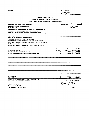**FORMS**

**OSC Use Only:** Reporting Code: Category Code:

## **State Consultant Services Contractor's Annual Employment Record Report Period; April 1,2019 through March 31,2020**

**Contracting State Agency Name: Taconic DDSO Agency Code:** 

 $300004$ 

Contract Number: **OPDOl-0000078603** Contract Term: **Not Available** . Contractor Name: **Delta Engineers, Architects, and Land Surveyors, PC** Contractor Address: **860 Hooper Road Endwell, NY 13760** Description of Services Being Provided: **Environmental Services**

**Scope of Contract (Choose one that best fits):** Analysis a Evaluation a Research a Training a Data Processing  $\Box$  Computer Programing  $\Box$  Other IT Consulting  $\Box$ Engineering  $\blacksquare$  Architect Services  $\Box$  Surveying  $\Box$  Environmental Services  $\Box$ Health Services o Mental Health Services o Accounting a Auditing a Paralegal a Legal a Other Consulting a

|                                                  | Number of        | Number of hours | Amount Payable |                           |  |
|--------------------------------------------------|------------------|-----------------|----------------|---------------------------|--|
| <b>Employment Category</b>                       | <b>Employees</b> | worked          |                | <b>Under the Contract</b> |  |
| 17-2081.00 ENVIRONMENTAL ENGINEERS               |                  | 39.00           | S              | 4,707.23                  |  |
| 17-3025.00 ENVIRONMENTAL ENGINEERING TECHNICIANS |                  | 104.00          | ∣\$            | 6,001.82                  |  |
|                                                  |                  |                 |                |                           |  |
|                                                  |                  |                 |                |                           |  |
|                                                  |                  |                 |                | $\bullet$                 |  |
|                                                  |                  |                 |                |                           |  |
|                                                  |                  |                 |                |                           |  |
|                                                  |                  |                 |                |                           |  |
|                                                  |                  |                 |                |                           |  |
|                                                  |                  |                 |                |                           |  |
|                                                  |                  |                 |                |                           |  |
|                                                  |                  |                 |                |                           |  |
|                                                  |                  |                 |                |                           |  |
|                                                  |                  |                 |                |                           |  |
|                                                  |                  |                 |                |                           |  |
| Total this page                                  |                  | $143.00$   \$   |                | 10,709.05                 |  |
| <b>Grand Total</b>                               |                  | $143.00$   \$   |                | 10,709.05                 |  |

Name of person who prepared this report: KELCIE J. GUCCIA Title: HUMAN RESOURCES COORDINATOR **Phone #: 607-231-6657** 

Kercich. Jurcea ₫

Preparer's Signature: Date Prepared: 5/1/2020 (Use additional pages, if necessary) examples and the example of 1 of 1 page 1 of 1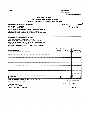## **State Consultant Services Contractor's Annual Employment Record Report Period: April 1, 2019 through March 31,2020**

*mmf*

Contracting State Agency Name: Taconic DDSO **Agency Code:** Agency Code: Contract Number: **Unknown** Contract Term: **Not Available** Contractor Name: **Delta Engineers, Architects, and Land Surveyors, PC** Contractor Address: **860 Hooper Road Endwell, NY 13760** Description ofServices Being Provided: **55 Mayflower Ave Dover Plains**

**Scope of Contract (Choose one that best fits):** Analysis D Evaluation D Research D Training D Data Processing  $\Box$  Computer Programing  $\Box$  Other IT Consulting  $\Box$ Engineering  $\blacksquare$  Architect Services  $\Box$  Surveying  $\Box$  Environmental Services  $\Box$ Health Services o Mental Health Services o Accounting  $\Box$  Auditing  $\Box$  Paralegal  $\Box$  Legal  $\Box$  Other Consulting  $\Box$ 

|                                    | Number of | Number of hours |     | <b>Amount Payable</b>     |
|------------------------------------|-----------|-----------------|-----|---------------------------|
| <b>Employment Category</b>         | Employees | worked          |     | <b>Under the Contract</b> |
| 17-2081.00 ENVIRONMENTAL ENGINEERS |           | 0.50            | -S  | 61.40                     |
|                                    |           |                 |     |                           |
|                                    |           |                 |     |                           |
|                                    |           |                 |     |                           |
|                                    |           |                 |     |                           |
|                                    |           |                 |     |                           |
|                                    |           |                 |     |                           |
|                                    |           |                 |     |                           |
|                                    |           |                 |     |                           |
|                                    |           |                 |     |                           |
|                                    |           |                 |     |                           |
|                                    |           |                 |     |                           |
|                                    |           |                 |     |                           |
|                                    |           |                 |     |                           |
|                                    |           |                 |     |                           |
| Total this page                    |           | 0.50            | l S | 61.40                     |
| <b>Grand Total</b>                 |           | $0.50$   \$     |     | 61.40                     |

Name of person who prepared this report: KELCIE J. GUCCIA Title: HUMAN RESOURCES COORDINATOR **Phone #: 607-231-6657**

Kercuio Ducca

Preparer's Signature: Date Prepared: 5/1/2020 (Use additional pages, if necessary) examples and the example of 1 of 1 page 1 of 1 page 1 of 1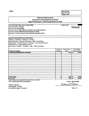$36600041$ 

## **State Consultant Services Contractor's Annual Employment Record Report Period: April 1,2019 through March 31, 2020**

Contracting State Agency Name: **Taconic DDSO Agency Code:** Contract Number: **Unknown** Contract Term; **Not Available** Contractor Name: **Delta Engineers, Architects, and Land Surveyors, PC** Contractor Address: **860 Hooper Road Endwell, NY 13760** Description of Services Being Provided: **McCarthy Road Dover Plains**

**Scope of Contract (Choose one that best fits);** Analysis  $\Box$  Evaluation  $\Box$  . Research  $\Box$  Training  $\Box$ Data Processing a Computer Programing a Other IT Consulting a Engineering Architect Services *a* Surveying Environmental Services Health Services  $\Box$  Mental Health Services  $\Box$ Accounting  $\Box$  Auditing  $\Box$  Paralegal  $\Box$  Legal  $\Box$  Other Consulting  $\Box$ 

|                                                            | Number of        | Number of hours   |     | <b>Amount Payable</b>     |
|------------------------------------------------------------|------------------|-------------------|-----|---------------------------|
| <b>Employment Category</b>                                 | <b>Employees</b> | worked            |     | <b>Under the Contract</b> |
| 17-2081.00 ENVIRONMENTAL ENGINEERS                         |                  | 0.50              | i s | 61.40                     |
|                                                            |                  |                   |     |                           |
|                                                            |                  |                   |     |                           |
| ٠                                                          |                  |                   |     |                           |
|                                                            |                  |                   |     |                           |
|                                                            |                  |                   |     |                           |
|                                                            |                  |                   |     |                           |
|                                                            |                  |                   |     |                           |
|                                                            |                  |                   |     |                           |
| $\cdot$                                                    |                  |                   |     |                           |
|                                                            |                  |                   |     |                           |
|                                                            |                  |                   |     |                           |
|                                                            |                  |                   |     |                           |
|                                                            |                  |                   |     |                           |
|                                                            |                  |                   |     |                           |
| Total this page                                            |                  | 0.50              | ۱s  | 61.40                     |
| <b>Grand Total</b>                                         |                  | $\bullet$<br>0.50 | ۱s  | 61.40                     |
| Nouse of concerning concerned this concern VELCIE L.CUCCIA |                  |                   |     |                           |

Name of person who prepared this report; KELCIE J. GUCCIA Title: HUMAN RESOURCES COORDINATOR **Phone #; 607-231-66S7**

Kekie Wocca Q

Preparer's Signature: Date Prepared: S/1/2020 (Use additional pages, if necessary) Page 1 of <sup>1</sup>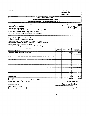## **State Consultant Services Contractor's Annual Employment Record Report Period: April 1,2019 through March 31,2020**

**Contracting State Agency Name: Taconic DDSO** Agency Code: Contract Number: **Unknown** Contract Term: **Not Available** Contractor Name: **Delta Engineers, Architects, and Land Surveyors, PC** Contractor Address: **860 Hooper Road Endweli, NY 13760** Description of Services Being Provided: **2078 Route 22 Wingdaie**

**Scope of Contract (Choose one that best fits):** Analysis **a** Evaluation **a** Research **a** Training **a** Data Processing a Computer Programing a Other IT Consulting a Engineering  $\blacksquare$  Architect Services  $\Box$  Surveying  $\Box$  Environmental Services  $\Box$ Health Services o Mental Health Services o Accounting  $\Box$  Auditing  $\Box$  Paralegal  $\Box$  Legal  $\Box$  Other Consulting  $\Box$ 

|                                               | Number of        | Number of hours | Amount Payable            |
|-----------------------------------------------|------------------|-----------------|---------------------------|
| <b>Employment Category</b>                    | <b>Employees</b> | worked          | <b>Under the Contract</b> |
| 17-2081.00 ENVIRONMENTAL ENGINEERS            |                  | 0.50            | \$<br>61.40               |
| ٠                                             |                  |                 |                           |
|                                               |                  |                 |                           |
|                                               |                  |                 |                           |
|                                               |                  |                 |                           |
|                                               |                  |                 |                           |
|                                               |                  |                 |                           |
|                                               |                  |                 |                           |
|                                               |                  |                 |                           |
|                                               |                  |                 |                           |
|                                               |                  |                 |                           |
|                                               |                  |                 |                           |
|                                               |                  |                 |                           |
|                                               |                  |                 |                           |
|                                               |                  |                 |                           |
| <b>Total this page</b>                        |                  | $0.50$ \$       | 61.40                     |
| <b>Grand Total</b>                            |                  | $0.50$   \$     | 61.40                     |
| $\mathbf{r}$ . The set of $\mathbf{r}$<br>. . |                  |                 |                           |

Name of person who prepared this report: KELCIE J. GUCCIA Title: HUMAN RESOURCES COORDINATOR **Phone #: 607-231-6657**

Kekie D. Oucea

Preparer's Signature: Date Prepared: 5/1/2020 (Use additional pages, if necessary) **Page 1 of 1**

3600241

Fife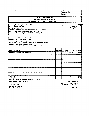## **State Consultant Services Contractor's Annual Employment Record Report Period: April 1,2019 through March 31,2020**

Contracting State Agency Name: Taconic DDSO **Agency Code:** Agency Code: Contract Number: **Unknown** Contract Term; **Not Available** Contractor Name; **Delta Engineers, Architects, and Land Surveyors, PC** Contractor Address: **860 Hooper Road Endwell, NY 13760** Description of Services Being Provided: **6946 Route 55 Wingdale**

**Scope of Contract (Choose one that best fits):** Analysis a Evaluation a Research a Training a Data Processing a Computer Programing a Other IT Consulting a Engineering **Anchitect Services a** Surveying a Environmental Services a Health Services Mental Health Services **a** Accounting a Auditing a Paralegal a Legal a Other Consulting a

**Amount Payable Under the Contract Number of Employees Number of hours** Employment Category **worked 17-2081.00 ENVIRONMENTAL ENGINEERS 1 0.50 \$ 61.40** Total this page **1 0.50 \$ 61.40** Grand Total **1 0.50 \$ 61.40** Name of person who prepared this report: KELCIE J. GUCCIA

Title: HUMAN RESOURCES COORDINATOR<br>Preparer's Signature:<br>Preparer's Signature:

Preparer's Signature; Date Prepared: 5/1/2020 (Use additional pages, if necessary) examples and the example of  $\sim$  Page 1 of 1

**FORM B** 

*mmf*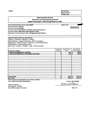**State Consultant Services Contractor's Annual Employment Record Report Period: April 1,2019 through March 31,2020** Contracting State Agency Name: **Taconic DDSO** Agency Code: Contract Number: **Unknown**  $3660341$ Contract Term: **Not Available** Contractor Name: **Delta Engineers, Architects, and Land Surveyors, PC** Contractor Address: **860 Hooper Road Endwell, NY 13760** Description of Services Being Provided: **198 Stagecoach Road Patterson Scope of Contract (Choose one that best fits):** Analysis **a** Evaluation **a** Research **a** Training **a** Data Processing a Computer Programing a Other IT Consulting a Engineering  $\blacksquare$  Architect Services  $\Box$  Surveying  $\Box$  Environmental Services  $\Box$ Health Services  $\Box$  Mental Health Services  $\Box$ Accounting  $\Box$  Auditing  $\Box$  Paralegal  $\Box$  Legal  $\Box$  Other Consulting  $\Box$ **Number of Number of hours Amount Payable** Employment Category **Employees Under the Contract worked 17-2081.00 ENVIRONMENTAL ENGINEERS 1 6.50 \$ 798.03 17-3025.00 ENVIRONMENTAL ENGINEERING TECHNICIANS 1 4.00 \$ 219.34** Total this page 2 **10.S0 \$ 1,017.37** Grand Total 2 **10.50 \$ 1,017.37**

**FORM B OSC** Use Only:

Name of person who prepared this report: KELCIE J. GUCCIA Title: HUMAN RESOURCES COORDINATOR **Phone #: 607-231-6657** 

Korris Jurca

Reporting Code: Category Code:

Preparer's Signature: Date Prepared: 5/1/2020 (Use additional pages, if necessary) examples and the example of 1 of 1 page 1 of 1 and 1 of 1 and 1 of 1 and 1 of 1 and 1 of 1 and 1 of 1 and 1 of 1 and 1 of 1 and 1 of 1 and 1 of 1 and 1 of 1 and 1 of 1 and 1 of 1 and 1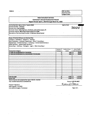## **State Consultant Services Contractor's Annual Employment Record Report Period: April 1,2019 through March 31, 2020**

**Contracting State Agency Name: Taconic DDSO Agency Code: Agency Code: Agency Code: Agency Code: Agency Code: Agency Code: Agency Code: Agency Code: Agency Code: Agency Code: Agency Code: Agency Cod** Contract Number; **Unknown** Contract Term: **Not Available** Contractor Name; **Delta Engineers, Architects, and Land Surveyors, PC** Contractor Address: **860 Hooper Road Endwell, NY 13760** Description of Services Being Provided: **17 Mechanic Street Carmel**

**Scope of Contract (Choose one that best fits):** Analysis **a** Evaluation **a** Research **a** Training **a** Data Processing  $\Box$  Computer Programing  $\Box$  Other IT Consulting  $\Box$ Engineering  $\blacksquare$  Architect Services  $\square$  Surveying  $\square$  Environmental Services  $\square$ Health Services **D** Mental Health Services **D** Accounting  $\Box$  Auditing  $\Box$  Paralegal  $\Box$  Legal  $\Box$  Other Consulting  $\Box$ 

**Number of Employees Number of hours worked Amount Payable** Employment Category **Under the Contract 17-2081.00 ENVIRONMENTAL ENGINEERS 1 6.00 \$ 736.63 17-3025.00 ENVIRONMENTAL ENGINEERING TECHNICIANS 1 8.00 \$ 438.64** Total this page 2 **. 14.00 \$ 1,175.27** Grand Total 2 **14.00 \$ 1,175.27**

Name of person who prepared this report: KELCIE J. GUCCIA Title; HUMAN RESOURCES COORDINATOR **Phone #: 607-231-6657**

 $P$ reparer's Signature:  $\mathcal{A}\mathcal{A}$ Date Prepared; 5/1/2020 (Use additional pages, if necessary) **Page 1 of 1**

Wocca

**FORM B** 

*Mm*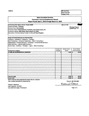## **State Consultant Services Contractor's Annual Employment Record Report Period: April 1,2019 through March 31,2020**

Contracting State Agency Contract Number: **Unknown** Name: Taconic DDSO Agency Code: *Agency Code: agency Code: g/// 6 assets* Contract Term: **Not Available** Contractor Name: **Delta Engineers, Architects, and Land Surveyors, PC** Contractor Address: **860 Hooper Road Endwell, NY 13760** Description of Services Being Provided: **11 Perry Hill Road Kingston**

**Scope of Contract (Choose one that best fits):** Analysis a Evaluation a Research a Training a Data Processing q Computer Programing q Other IT Consulting q Engineering  $\blacksquare$  Architect Services  $\Box$  Surveying  $\Box$  Environmental Services  $\Box$ Health Services o Mental Health Services o Accounting  $\Box$  Auditing  $\Box$  Paralegal  $\Box$  Legal  $\Box$  Other Consulting  $\Box$ 

**Number of Employees Amount Payable Under the Contract Number of hours** Employment Category **worked 17-2081.00 ENVIRONMENTAL ENGINEERS 1 o.so \$ 61.40** Total this page **1 0.50 \$ 61.40** Grand Total **1 0.50 \$ 61.40**

Name of person who prepared this report: KELCIE J. GUCCIA Title: HUMAN RESOURCES COORDINATOR **Phone #: 607-231-6657** 

Kerrio Juocea

Preparer's Signature: Date Prepared: S/1/2020 (Use additional pages, if necessary) Page <sup>1</sup> of <sup>1</sup>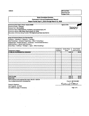| <b>State Consultant Services</b>                                               |                  |                        |                           |       |
|--------------------------------------------------------------------------------|------------------|------------------------|---------------------------|-------|
| <b>Contractor's Annual Employment Record</b>                                   |                  |                        |                           |       |
| Report Period: April 1, 2019 through March 31, 2020                            |                  |                        |                           |       |
|                                                                                |                  | <b>Agency Code:</b>    |                           |       |
| Contracting State Agency Name: Taconic DDSO<br>Contract Number: Unknown        |                  |                        |                           |       |
| <b>Contract Term: Not Available</b>                                            |                  |                        | $30000041$                |       |
| Contractor Name: Delta Engineers, Architects, and Land Surveyors, PC           |                  |                        |                           |       |
| Contractor Address: 860 Hooper Road Endwell, NY 13760                          |                  |                        |                           |       |
| Description of Services Being Provided: 795 Neighborhood Road Lake Katrine     |                  |                        |                           |       |
| Scope of Contract (Choose one that best fits):                                 |                  |                        |                           |       |
| Analysis a Evaluation a Research a Training a                                  |                  |                        |                           |       |
| Data Processing a Computer Programing a Other IT Consulting a                  |                  |                        |                           |       |
| Engineering <b>a</b> Architect Services a Surveying a Environmental Services a |                  |                        |                           |       |
| Health Services a Mental Health Services a                                     |                  |                        |                           |       |
| Accounting a Auditing a Paralegal a Legal a Other Consulting a                 |                  |                        |                           |       |
|                                                                                |                  |                        |                           |       |
|                                                                                | Number of        | <b>Number of hours</b> | <b>Amount Payable</b>     |       |
| <b>Employment Category</b>                                                     | <b>Employees</b> | worked<br>0.50         | <b>Under the Contract</b> | 61.40 |
| 17-2081.00 ENVIRONMENTAL ENGINEERS                                             | 1                |                        | S                         |       |
|                                                                                |                  |                        |                           |       |
|                                                                                |                  |                        |                           |       |
|                                                                                |                  |                        |                           |       |
|                                                                                |                  |                        |                           |       |
|                                                                                |                  |                        |                           |       |
|                                                                                |                  |                        |                           |       |
|                                                                                |                  |                        |                           |       |
|                                                                                |                  |                        |                           |       |
|                                                                                |                  |                        |                           |       |
|                                                                                |                  |                        |                           |       |
|                                                                                |                  |                        |                           |       |
|                                                                                |                  |                        |                           |       |
|                                                                                |                  |                        |                           |       |
| Total this page                                                                | 1                | 0.50                   | s                         | 61.40 |
| <b>Grand Total</b>                                                             |                  | 0.50                   | -S                        | 61.40 |

Name of person who prepared this report: KELCIE J. GUCCIA Title: HUMAN RESOURCES COORDINATOR **Phone #: 607-231-6657** 

Kekie Ducca

**OSC Use Only:** Reporting Code: Category Code:

Preparer's Signature: Date Prepared: S/1/2020 (Use additional pages, if necessary) Page <sup>1</sup> of <sup>1</sup>

**FORMB**